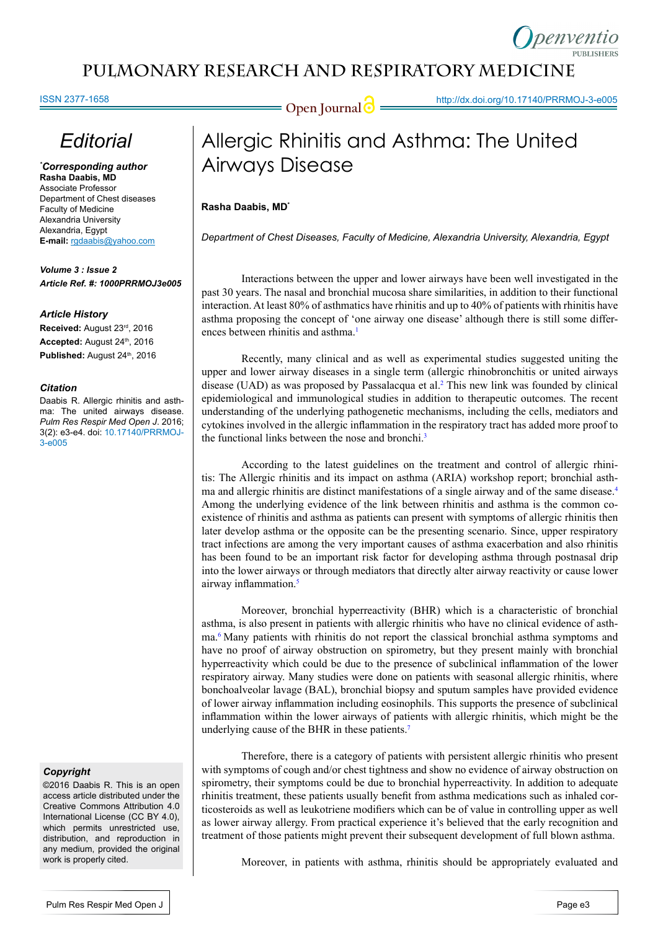### **pulmonary Research and respiratory medicinE**

ISSN 2377-1658

**Open Journal @** http://dx.doi.org/10.17140/PRRMOJ-3-e005

## *Editorial*

*\* Corresponding author* **Rasha Daabis, MD** Associate Professor Department of Chest diseases Faculty of Medicine Alexandria University Alexandria, Egypt **E-mail:** rgdaabis@yahoo.com

*Volume 3 : Issue 2 Article Ref. #: 1000PRRMOJ3e005*

#### *Article History*

**Received:** August 23rd, 2016 Accepted: August 24<sup>th</sup>, 2016 Published: August 24<sup>th</sup>, 2016

#### *Citation*

Daabis R. Allergic rhinitis and asthma: The united airways disease. *Pulm Res Respir Med Open J*. 2016; 3(2): e3-e4. doi: 10.17140/PRRMOJ-3-e005

#### *Copyright*

©2016 Daabis R. This is an open access article distributed under the Creative Commons Attribution 4.0 International License (CC BY 4.0), which permits unrestricted use, distribution, and reproduction in any medium, provided the original work is properly cited.

# Allergic Rhinitis and Asthma: The United Airways Disease

#### **Rasha Daabis, MD\***

*Department of Chest Diseases, Faculty of Medicine, Alexandria University, Alexandria, Egypt*

Interactions between the upper and lower airways have been well investigated in the past 30 years. The nasal and bronchial mucosa share similarities, in addition to their functional interaction. At least 80% of asthmatics have rhinitis and up to 40% of patients with rhinitis have asthma proposing the concept of 'one airway one disease' although there is still some differ-ences between rhinitis and asthma.<sup>[1](#page-1-0)</sup>

Recently, many clinical and as well as experimental studies suggested uniting the upper and lower airway diseases in a single term (allergic rhinobronchitis or united airways disease (UAD) as was proposed by Passalacqua et al.<sup>[2](#page-1-1)</sup> This new link was founded by clinical epidemiological and immunological studies in addition to therapeutic outcomes. The recent understanding of the underlying pathogenetic mechanisms, including the cells, mediators and cytokines involved in the allergic inflammation in the respiratory tract has added more proof to the functional links between the nose and bronchi.<sup>[3](#page-1-2)</sup>

According to the latest guidelines on the treatment and control of [allergic rhini](http://europepmc.org/abstract/med/15617661/?whatizit_url=http://europepmc.org/search/?page=1&query=%22allergic%20rhinitis%22)[tis:](http://europepmc.org/abstract/med/15617661/?whatizit_url=http://europepmc.org/search/?page=1&query=%22allergic%20rhinitis%22) The [Allergic rhinitis](http://europepmc.org/abstract/med/15617661/?whatizit_url=http://europepmc.org/search/?page=1&query=%22Allergic%20Rhinitis%22) and its impact on [asthma](http://europepmc.org/abstract/med/15617661/?whatizit_url=http://europepmc.org/search/?page=1&query=%22Asthma%22) (ARIA) workshop report; bronchial asthma and [allergic rhinitis](http://europepmc.org/abstract/med/15617661/?whatizit_url=http://europepmc.org/search/?page=1&query=%22allergic%20rhinitis%22) are distinct manifestations of a single airway and of the same disease[.4](#page-1-3) Among the underlying evidence of the link between rhinitis and asthma is the common coexistence of rhinitis and asthma as patients can present with symptoms of allergic rhinitis then later develop asthma or the opposite can be the presenting scenario. Since, upper respiratory tract infections are among the very important causes of asthma exacerbation and also rhinitis has been found to be an important risk factor for developing asthma through postnasal drip into the lower airways or through mediators that directly alter airway reactivity or cause lower airway inflammation.<sup>[5](#page-1-4)</sup>

Moreover, bronchial hyperreactivity (BHR) which is a characteristic of bronchial asthma, is also present in patients with allergic rhinitis who have no clinical evidence of asthma[.6](#page-1-5) Many patients with rhinitis do not report the classical bronchial asthma symptoms and have no proof of airway obstruction on spirometry, but they present mainly with bronchial hyperreactivity which could be due to the presence of subclinical inflammation of the lower respiratory airway. Many studies were done on patients with seasonal allergic rhinitis, where bonchoalveolar lavage (BAL), bronchial biopsy and sputum samples have provided evidence of lower airway inflammation including eosinophils. This supports the presence of subclinical inflammation within the lower airways of patients with allergic rhinitis, which might be the underlying cause of the BHR in these patients.[7](#page-1-6)

Therefore, there is a category of patients with persistent allergic rhinitis who present with symptoms of cough and/or chest tightness and show no evidence of airway obstruction on spirometry, their symptoms could be due to bronchial hyperreactivity. In addition to adequate rhinitis treatment, these patients usually benefit from asthma medications such as inhaled corticosteroids as well as leukotriene modifiers which can be of value in controlling upper as well as lower airway allergy. From practical experience it's believed that the early recognition and treatment of those patients might prevent their subsequent development of full blown asthma.

Moreover, in patients with asthma, rhinitis should be appropriately evaluated and